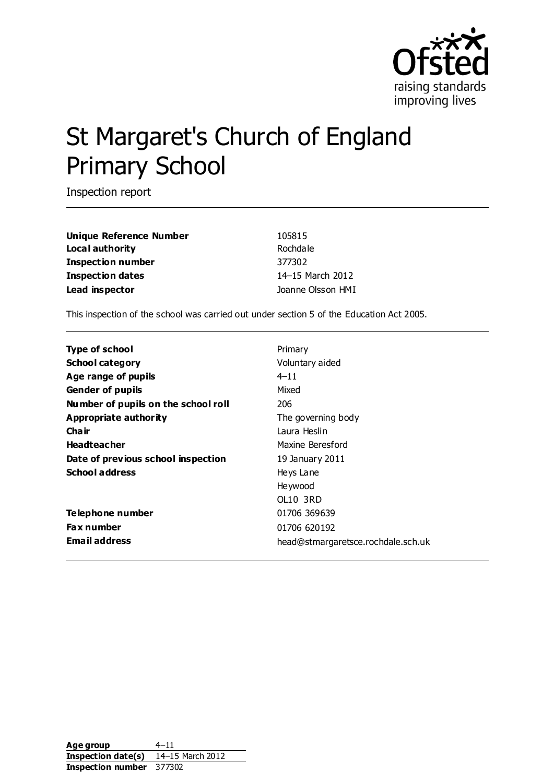

# St Margaret's Church of England Primary School

Inspection report

**Unique Reference Number** 105815 **Local authority** Rochdale **Inspection number** 377302 **Inspection dates** 14–15 March 2012 **Lead inspector Lead inspector Joanne Olsson HMI** 

This inspection of the school was carried out under section 5 of the Education Act 2005.

| <b>Type of school</b>               | Primary                            |
|-------------------------------------|------------------------------------|
|                                     |                                    |
| <b>School category</b>              | Voluntary aided                    |
| Age range of pupils                 | $4 - 11$                           |
| <b>Gender of pupils</b>             | Mixed                              |
| Number of pupils on the school roll | 206                                |
| Appropriate authority               | The governing body                 |
| Cha ir                              | Laura Heslin                       |
| <b>Headteacher</b>                  | Maxine Beresford                   |
| Date of previous school inspection  | 19 January 2011                    |
| <b>School address</b>               | Heys Lane                          |
|                                     | Heywood                            |
|                                     | OL10 3RD                           |
| Telephone number                    | 01706 369639                       |
| <b>Fax number</b>                   | 01706 620192                       |
| <b>Email address</b>                | head@stmargaretsce.rochdale.sch.uk |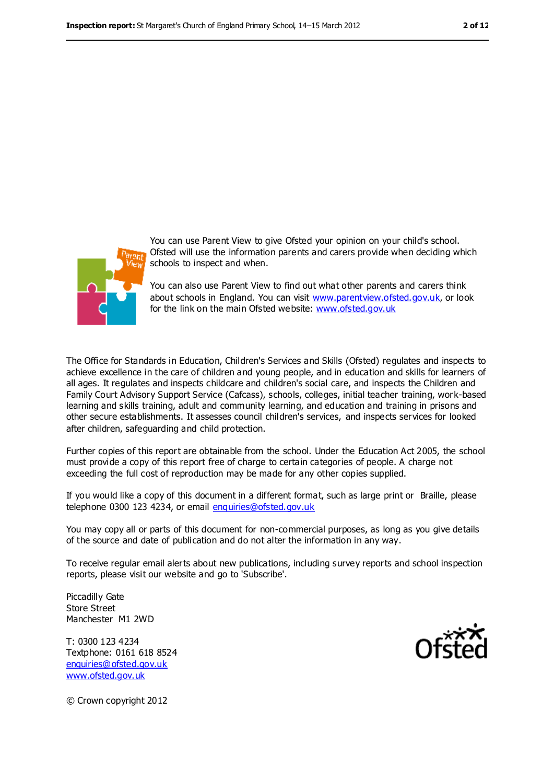

You can use Parent View to give Ofsted your opinion on your child's school. Ofsted will use the information parents and carers provide when deciding which schools to inspect and when.

You can also use Parent View to find out what other parents and carers think about schools in England. You can visit [www.parentview.ofsted.gov.uk,](file:///C:/jolsson/AppData/jolsson/AppData/Local/Microsoft/Windows/Temporary%20Internet%20Files/Content.IE5/B9MX3V6B/www.parentview.ofsted.gov.uk) or look for the link on the main Ofsted website: [www.ofsted.gov.uk](file:///C:/jolsson/AppData/jolsson/AppData/Local/Microsoft/Windows/Temporary%20Internet%20Files/Content.IE5/B9MX3V6B/www.ofsted.gov.uk)

The Office for Standards in Education, Children's Services and Skills (Ofsted) regulates and inspects to achieve excellence in the care of children and young people, and in education and skills for learners of all ages. It regulates and inspects childcare and children's social care, and inspects the Children and Family Court Advisory Support Service (Cafcass), schools, colleges, initial teacher training, work-based learning and skills training, adult and community learning, and education and training in prisons and other secure establishments. It assesses council children's services, and inspects services for looked after children, safeguarding and child protection.

Further copies of this report are obtainable from the school. Under the Education Act 2005, the school must provide a copy of this report free of charge to certain categories of people. A charge not exceeding the full cost of reproduction may be made for any other copies supplied.

If you would like a copy of this document in a different format, such as large print or Braille, please telephone 0300 123 4234, or email [enquiries@ofsted.gov.uk](mailto:enquiries@ofsted.gov.uk)

You may copy all or parts of this document for non-commercial purposes, as long as you give details of the source and date of publication and do not alter the information in any way.

To receive regular email alerts about new publications, including survey reports and school inspection reports, please visit our website and go to 'Subscribe'.

Piccadilly Gate Store Street Manchester M1 2WD

T: 0300 123 4234 Textphone: 0161 618 8524 [enquiries@ofsted.gov.uk](mailto:enquiries@ofsted.gov.uk) [www.ofsted.gov.uk](http://www.ofsted.gov.uk/)



© Crown copyright 2012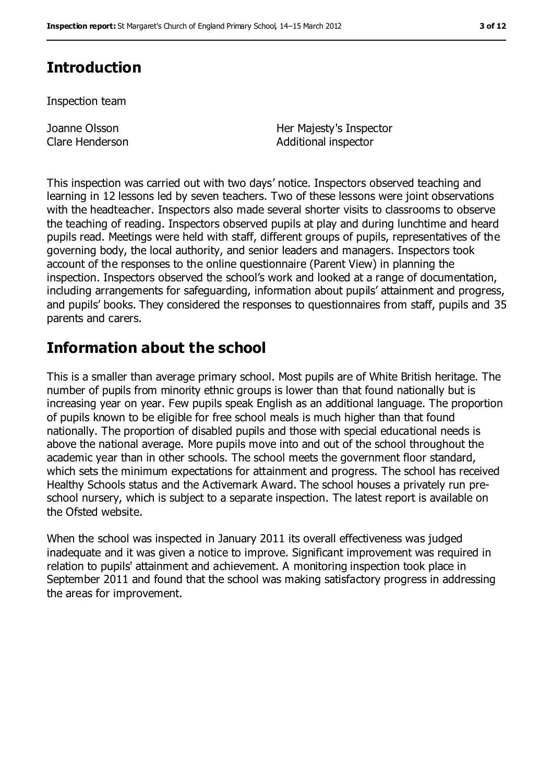# **Introduction**

Inspection team

Joanne Olsson Clare Henderson Her Majesty's Inspector Additional inspector

This inspection was carried out with two days' notice. Inspectors observed teaching and learning in 12 lessons led by seven teachers. Two of these lessons were joint observations with the headteacher. Inspectors also made several shorter visits to classrooms to observe the teaching of reading. Inspectors observed pupils at play and during lunchtime and heard pupils read. Meetings were held with staff, different groups of pupils, representatives of the governing body, the local authority, and senior leaders and managers. Inspectors took account of the responses to the online questionnaire (Parent View) in planning the inspection. Inspectors observed the school's work and looked at a range of documentation, including arrangements for safeguarding, information about pupils' attainment and progress, and pupils' books. They considered the responses to questionnaires from staff, pupils and 35 parents and carers.

# **Information about the school**

This is a smaller than average primary school. Most pupils are of White British heritage. The number of pupils from minority ethnic groups is lower than that found nationally but is increasing year on year. Few pupils speak English as an additional language. The proportion of pupils known to be eligible for free school meals is much higher than that found nationally. The proportion of disabled pupils and those with special educational needs is above the national average. More pupils move into and out of the school throughout the academic year than in other schools. The school meets the government floor standard, which sets the minimum expectations for attainment and progress. The school has received Healthy Schools status and the Activemark Award. The school houses a privately run preschool nursery, which is subject to a separate inspection. The latest report is available on the Ofsted website.

When the school was inspected in January 2011 its overall effectiveness was judged inadequate and it was given a notice to improve. Significant improvement was required in relation to pupils' attainment and achievement. A monitoring inspection took place in September 2011 and found that the school was making satisfactory progress in addressing the areas for improvement.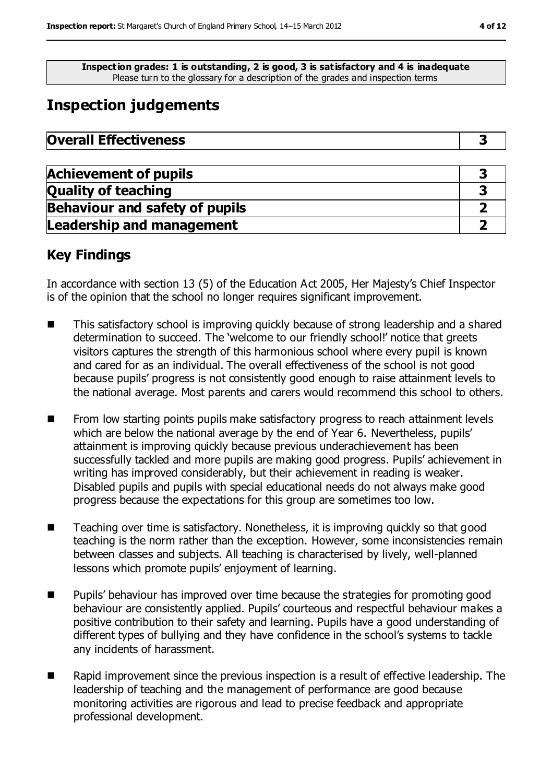**Inspection grades: 1 is outstanding, 2 is good, 3 is satisfactory and 4 is inadequate** Please turn to the glossary for a description of the grades and inspection terms

# **Inspection judgements**

| <b>Achievement of pupils</b>          |  |
|---------------------------------------|--|
| <b>Quality of teaching</b>            |  |
| <b>Behaviour and safety of pupils</b> |  |
| <b>Leadership and management</b>      |  |

## **Key Findings**

In accordance with section 13 (5) of the Education Act 2005, Her Majesty's Chief Inspector is of the opinion that the school no longer requires significant improvement.

- This satisfactory school is improving quickly because of strong leadership and a shared determination to succeed. The 'welcome to our friendly school!' notice that greets visitors captures the strength of this harmonious school where every pupil is known and cared for as an individual. The overall effectiveness of the school is not good because pupils' progress is not consistently good enough to raise attainment levels to the national average. Most parents and carers would recommend this school to others.
- From low starting points pupils make satisfactory progress to reach attainment levels which are below the national average by the end of Year 6. Nevertheless, pupils' attainment is improving quickly because previous underachievement has been successfully tackled and more pupils are making good progress. Pupils' achievement in writing has improved considerably, but their achievement in reading is weaker. Disabled pupils and pupils with special educational needs do not always make good progress because the expectations for this group are sometimes too low.
- Teaching over time is satisfactory. Nonetheless, it is improving quickly so that good teaching is the norm rather than the exception. However, some inconsistencies remain between classes and subjects. All teaching is characterised by lively, well-planned lessons which promote pupils' enjoyment of learning.
- **Pupils' behaviour has improved over time because the strategies for promoting good** behaviour are consistently applied. Pupils' courteous and respectful behaviour makes a positive contribution to their safety and learning. Pupils have a good understanding of different types of bullying and they have confidence in the school's systems to tackle any incidents of harassment.
- Rapid improvement since the previous inspection is a result of effective leadership. The leadership of teaching and the management of performance are good because monitoring activities are rigorous and lead to precise feedback and appropriate professional development.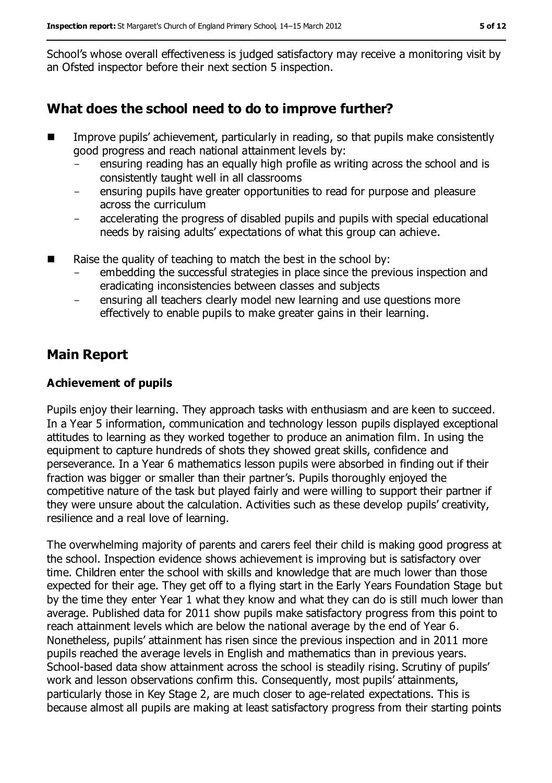School's whose overall effectiveness is judged satisfactory may receive a monitoring visit by an Ofsted inspector before their next section 5 inspection.

## **What does the school need to do to improve further?**

- Improve pupils' achievement, particularly in reading, so that pupils make consistently good progress and reach national attainment levels by:
	- ensuring reading has an equally high profile as writing across the school and is consistently taught well in all classrooms
	- ensuring pupils have greater opportunities to read for purpose and pleasure across the curriculum
	- accelerating the progress of disabled pupils and pupils with special educational needs by raising adults' expectations of what this group can achieve.
- Raise the quality of teaching to match the best in the school by:
	- embedding the successful strategies in place since the previous inspection and eradicating inconsistencies between classes and subjects
	- ensuring all teachers clearly model new learning and use questions more effectively to enable pupils to make greater gains in their learning.

## **Main Report**

#### **Achievement of pupils**

Pupils enjoy their learning. They approach tasks with enthusiasm and are keen to succeed. In a Year 5 information, communication and technology lesson pupils displayed exceptional attitudes to learning as they worked together to produce an animation film. In using the equipment to capture hundreds of shots they showed great skills, confidence and perseverance. In a Year 6 mathematics lesson pupils were absorbed in finding out if their fraction was bigger or smaller than their partner's. Pupils thoroughly enjoyed the competitive nature of the task but played fairly and were willing to support their partner if they were unsure about the calculation. Activities such as these develop pupils' creativity, resilience and a real love of learning.

The overwhelming majority of parents and carers feel their child is making good progress at the school. Inspection evidence shows achievement is improving but is satisfactory over time. Children enter the school with skills and knowledge that are much lower than those expected for their age. They get off to a flying start in the Early Years Foundation Stage but by the time they enter Year 1 what they know and what they can do is still much lower than average. Published data for 2011 show pupils make satisfactory progress from this point to reach attainment levels which are below the national average by the end of Year 6. Nonetheless, pupils' attainment has risen since the previous inspection and in 2011 more pupils reached the average levels in English and mathematics than in previous years. School-based data show attainment across the school is steadily rising. Scrutiny of pupils' work and lesson observations confirm this. Consequently, most pupils' attainments, particularly those in Key Stage 2, are much closer to age-related expectations. This is because almost all pupils are making at least satisfactory progress from their starting points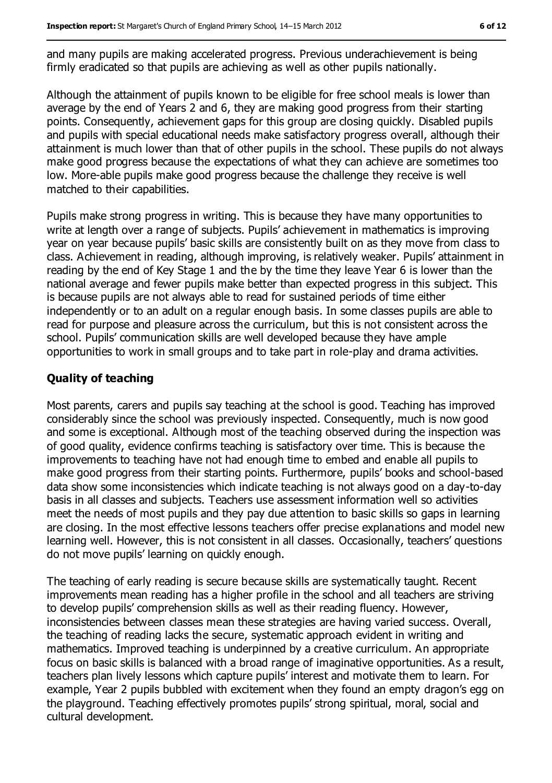and many pupils are making accelerated progress. Previous underachievement is being firmly eradicated so that pupils are achieving as well as other pupils nationally.

Although the attainment of pupils known to be eligible for free school meals is lower than average by the end of Years 2 and 6, they are making good progress from their starting points. Consequently, achievement gaps for this group are closing quickly. Disabled pupils and pupils with special educational needs make satisfactory progress overall, although their attainment is much lower than that of other pupils in the school. These pupils do not always make good progress because the expectations of what they can achieve are sometimes too low. More-able pupils make good progress because the challenge they receive is well matched to their capabilities.

Pupils make strong progress in writing. This is because they have many opportunities to write at length over a range of subjects. Pupils' achievement in mathematics is improving year on year because pupils' basic skills are consistently built on as they move from class to class. Achievement in reading, although improving, is relatively weaker. Pupils' attainment in reading by the end of Key Stage 1 and the by the time they leave Year 6 is lower than the national average and fewer pupils make better than expected progress in this subject. This is because pupils are not always able to read for sustained periods of time either independently or to an adult on a regular enough basis. In some classes pupils are able to read for purpose and pleasure across the curriculum, but this is not consistent across the school. Pupils' communication skills are well developed because they have ample opportunities to work in small groups and to take part in role-play and drama activities.

#### **Quality of teaching**

Most parents, carers and pupils say teaching at the school is good. Teaching has improved considerably since the school was previously inspected. Consequently, much is now good and some is exceptional. Although most of the teaching observed during the inspection was of good quality, evidence confirms teaching is satisfactory over time. This is because the improvements to teaching have not had enough time to embed and enable all pupils to make good progress from their starting points. Furthermore, pupils' books and school-based data show some inconsistencies which indicate teaching is not always good on a day-to-day basis in all classes and subjects. Teachers use assessment information well so activities meet the needs of most pupils and they pay due attention to basic skills so gaps in learning are closing. In the most effective lessons teachers offer precise explanations and model new learning well. However, this is not consistent in all classes. Occasionally, teachers' questions do not move pupils' learning on quickly enough.

The teaching of early reading is secure because skills are systematically taught. Recent improvements mean reading has a higher profile in the school and all teachers are striving to develop pupils' comprehension skills as well as their reading fluency. However, inconsistencies between classes mean these strategies are having varied success. Overall, the teaching of reading lacks the secure, systematic approach evident in writing and mathematics. Improved teaching is underpinned by a creative curriculum. An appropriate focus on basic skills is balanced with a broad range of imaginative opportunities. As a result, teachers plan lively lessons which capture pupils' interest and motivate them to learn. For example, Year 2 pupils bubbled with excitement when they found an empty dragon's egg on the playground. Teaching effectively promotes pupils' strong spiritual, moral, social and cultural development.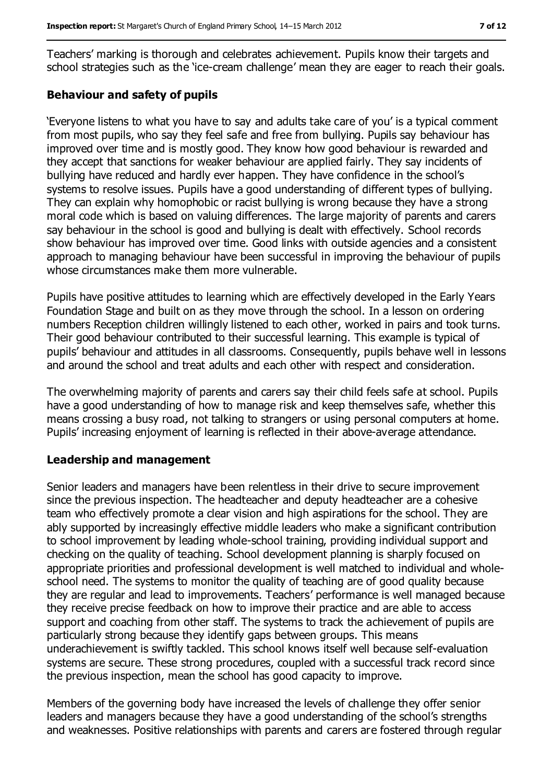Teachers' marking is thorough and celebrates achievement. Pupils know their targets and school strategies such as the 'ice-cream challenge' mean they are eager to reach their goals.

#### **Behaviour and safety of pupils**

'Everyone listens to what you have to say and adults take care of you' is a typical comment from most pupils, who say they feel safe and free from bullying. Pupils say behaviour has improved over time and is mostly good. They know how good behaviour is rewarded and they accept that sanctions for weaker behaviour are applied fairly. They say incidents of bullying have reduced and hardly ever happen. They have confidence in the school's systems to resolve issues. Pupils have a good understanding of different types of bullying. They can explain why homophobic or racist bullying is wrong because they have a strong moral code which is based on valuing differences. The large majority of parents and carers say behaviour in the school is good and bullying is dealt with effectively. School records show behaviour has improved over time. Good links with outside agencies and a consistent approach to managing behaviour have been successful in improving the behaviour of pupils whose circumstances make them more vulnerable.

Pupils have positive attitudes to learning which are effectively developed in the Early Years Foundation Stage and built on as they move through the school. In a lesson on ordering numbers Reception children willingly listened to each other, worked in pairs and took turns. Their good behaviour contributed to their successful learning. This example is typical of pupils' behaviour and attitudes in all classrooms. Consequently, pupils behave well in lessons and around the school and treat adults and each other with respect and consideration.

The overwhelming majority of parents and carers say their child feels safe at school. Pupils have a good understanding of how to manage risk and keep themselves safe, whether this means crossing a busy road, not talking to strangers or using personal computers at home. Pupils' increasing enjoyment of learning is reflected in their above-average attendance.

#### **Leadership and management**

Senior leaders and managers have been relentless in their drive to secure improvement since the previous inspection. The headteacher and deputy headteacher are a cohesive team who effectively promote a clear vision and high aspirations for the school. They are ably supported by increasingly effective middle leaders who make a significant contribution to school improvement by leading whole-school training, providing individual support and checking on the quality of teaching. School development planning is sharply focused on appropriate priorities and professional development is well matched to individual and wholeschool need. The systems to monitor the quality of teaching are of good quality because they are regular and lead to improvements. Teachers' performance is well managed because they receive precise feedback on how to improve their practice and are able to access support and coaching from other staff. The systems to track the achievement of pupils are particularly strong because they identify gaps between groups. This means underachievement is swiftly tackled. This school knows itself well because self-evaluation systems are secure. These strong procedures, coupled with a successful track record since the previous inspection, mean the school has good capacity to improve.

Members of the governing body have increased the levels of challenge they offer senior leaders and managers because they have a good understanding of the school's strengths and weaknesses. Positive relationships with parents and carers are fostered through regular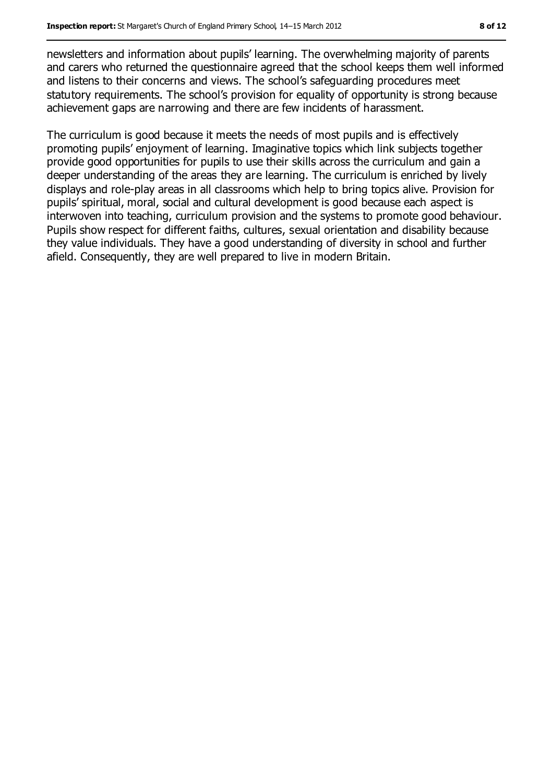newsletters and information about pupils' learning. The overwhelming majority of parents and carers who returned the questionnaire agreed that the school keeps them well informed and listens to their concerns and views. The school's safeguarding procedures meet statutory requirements. The school's provision for equality of opportunity is strong because achievement gaps are narrowing and there are few incidents of harassment.

The curriculum is good because it meets the needs of most pupils and is effectively promoting pupils' enjoyment of learning. Imaginative topics which link subjects together provide good opportunities for pupils to use their skills across the curriculum and gain a deeper understanding of the areas they are learning. The curriculum is enriched by lively displays and role-play areas in all classrooms which help to bring topics alive. Provision for pupils' spiritual, moral, social and cultural development is good because each aspect is interwoven into teaching, curriculum provision and the systems to promote good behaviour. Pupils show respect for different faiths, cultures, sexual orientation and disability because they value individuals. They have a good understanding of diversity in school and further afield. Consequently, they are well prepared to live in modern Britain.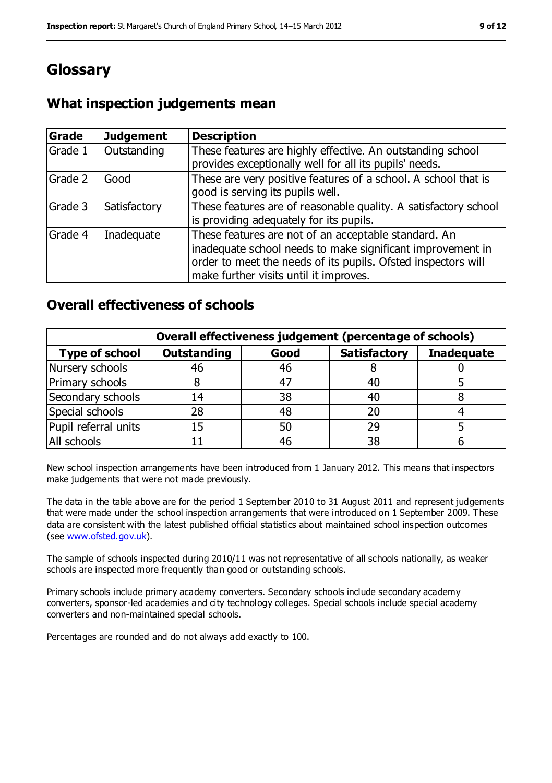# **Glossary**

## **What inspection judgements mean**

| Grade   | <b>Judgement</b> | <b>Description</b>                                                                                                                                                                                                            |
|---------|------------------|-------------------------------------------------------------------------------------------------------------------------------------------------------------------------------------------------------------------------------|
| Grade 1 | Outstanding      | These features are highly effective. An outstanding school<br>provides exceptionally well for all its pupils' needs.                                                                                                          |
| Grade 2 | Good             | These are very positive features of a school. A school that is<br>good is serving its pupils well.                                                                                                                            |
| Grade 3 | Satisfactory     | These features are of reasonable quality. A satisfactory school<br>is providing adequately for its pupils.                                                                                                                    |
| Grade 4 | Inadequate       | These features are not of an acceptable standard. An<br>inadequate school needs to make significant improvement in<br>order to meet the needs of its pupils. Ofsted inspectors will<br>make further visits until it improves. |

### **Overall effectiveness of schools**

|                       | Overall effectiveness judgement (percentage of schools) |      |                     |                   |
|-----------------------|---------------------------------------------------------|------|---------------------|-------------------|
| <b>Type of school</b> | <b>Outstanding</b>                                      | Good | <b>Satisfactory</b> | <b>Inadequate</b> |
| Nursery schools       | 46                                                      | 46   |                     |                   |
| Primary schools       |                                                         | 47   | 40                  |                   |
| Secondary schools     | 14                                                      | 38   | 40                  |                   |
| Special schools       | 28                                                      | 48   | 20                  |                   |
| Pupil referral units  | 15                                                      | 50   | 29                  |                   |
| All schools           |                                                         | 46   | 38                  |                   |

New school inspection arrangements have been introduced from 1 January 2012. This means that inspectors make judgements that were not made previously.

The data in the table above are for the period 1 September 2010 to 31 August 2011 and represent judgements that were made under the school inspection arrangements that were introduced on 1 September 2009. These data are consistent with the latest published official statistics about maintained school inspection outcomes (see www.ofsted.gov.uk).

The sample of schools inspected during 2010/11 was not representative of all schools nationally, as weaker schools are inspected more frequently than good or outstanding schools.

Primary schools include primary academy converters. Secondary schools include secondary academy converters, sponsor-led academies and city technology colleges. Special schools include special academy converters and non-maintained special schools.

Percentages are rounded and do not always add exactly to 100.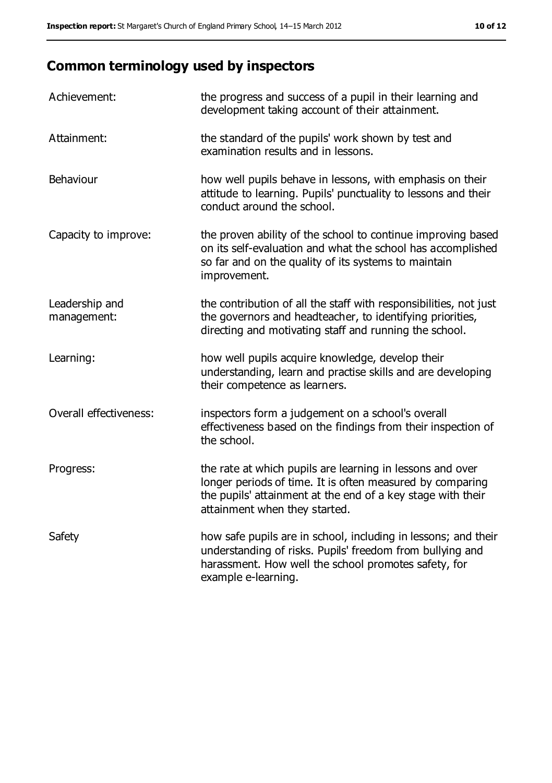# **Common terminology used by inspectors**

| Achievement:                  | the progress and success of a pupil in their learning and<br>development taking account of their attainment.                                                                                                           |
|-------------------------------|------------------------------------------------------------------------------------------------------------------------------------------------------------------------------------------------------------------------|
| Attainment:                   | the standard of the pupils' work shown by test and<br>examination results and in lessons.                                                                                                                              |
| Behaviour                     | how well pupils behave in lessons, with emphasis on their<br>attitude to learning. Pupils' punctuality to lessons and their<br>conduct around the school.                                                              |
| Capacity to improve:          | the proven ability of the school to continue improving based<br>on its self-evaluation and what the school has accomplished<br>so far and on the quality of its systems to maintain<br>improvement.                    |
| Leadership and<br>management: | the contribution of all the staff with responsibilities, not just<br>the governors and headteacher, to identifying priorities,<br>directing and motivating staff and running the school.                               |
| Learning:                     | how well pupils acquire knowledge, develop their<br>understanding, learn and practise skills and are developing<br>their competence as learners.                                                                       |
| Overall effectiveness:        | inspectors form a judgement on a school's overall<br>effectiveness based on the findings from their inspection of<br>the school.                                                                                       |
| Progress:                     | the rate at which pupils are learning in lessons and over<br>longer periods of time. It is often measured by comparing<br>the pupils' attainment at the end of a key stage with their<br>attainment when they started. |
| Safety                        | how safe pupils are in school, including in lessons; and their<br>understanding of risks. Pupils' freedom from bullying and<br>harassment. How well the school promotes safety, for<br>example e-learning.             |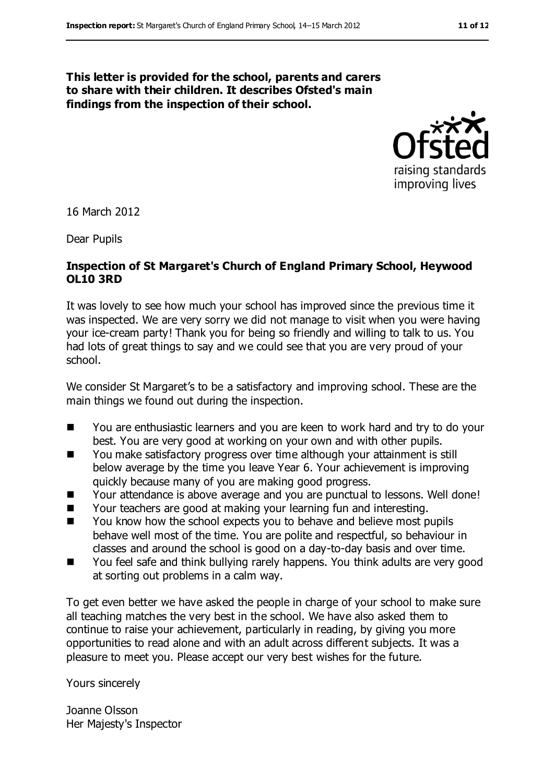#### **This letter is provided for the school, parents and carers to share with their children. It describes Ofsted's main findings from the inspection of their school.**



16 March 2012

Dear Pupils

#### **Inspection of St Margaret's Church of England Primary School, Heywood OL10 3RD**

It was lovely to see how much your school has improved since the previous time it was inspected. We are very sorry we did not manage to visit when you were having your ice-cream party! Thank you for being so friendly and willing to talk to us. You had lots of great things to say and we could see that you are very proud of your school.

We consider St Margaret's to be a satisfactory and improving school. These are the main things we found out during the inspection.

- You are enthusiastic learners and you are keen to work hard and try to do your best. You are very good at working on your own and with other pupils.
- You make satisfactory progress over time although your attainment is still below average by the time you leave Year 6. Your achievement is improving quickly because many of you are making good progress.
- Your attendance is above average and you are punctual to lessons. Well done!
- Your teachers are good at making your learning fun and interesting.
- You know how the school expects you to behave and believe most pupils behave well most of the time. You are polite and respectful, so behaviour in classes and around the school is good on a day-to-day basis and over time.
- You feel safe and think bullying rarely happens. You think adults are very good at sorting out problems in a calm way.

To get even better we have asked the people in charge of your school to make sure all teaching matches the very best in the school. We have also asked them to continue to raise your achievement, particularly in reading, by giving you more opportunities to read alone and with an adult across different subjects. It was a pleasure to meet you. Please accept our very best wishes for the future.

Yours sincerely

Joanne Olsson Her Majesty's Inspector